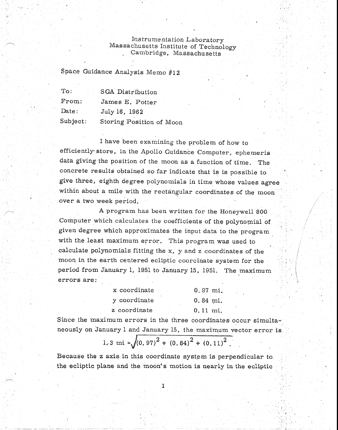## Instrumentation Laboratory Massachusetts Institute of Technology Cambridge, Massachusetts

Space Guidance Analysis Memo #12

| To:      | SGA Distribution         |
|----------|--------------------------|
| From:    | James E. Potter          |
| Date:    | July 16, 1962            |
| Subject: | Storing Position of Moon |

I have been examining the problem of how to efficiently store, in the Apollo Guidance Computer, ephemeris data giving the position of the moon as a function of time. The concrete results obtained so far indicate that is is possible to give three, eighth degree polynomials in time whose values agree within about a mile with the rectangular coordinates of the moon over a two week period.

A program has been written for the Honeywell 800 Computer 'which calculates the coefficients of the polynomial of given degree which approximates the input data to the program with the least maximum error. This program was used to calculate polynomials fitting the x, y and z coordinates of the moon in the earth centered ecliptic coorcinate system for the period from January 1, 1951 to January 15, 1951. The maximum errors are:

| x coordinate | $0.97 \; \text{mi.}$  |
|--------------|-----------------------|
| y coordinate | $0.84 \; \text{mi}$ . |
| z coordinate | $0.11 \; \text{mi}$ . |

Since the maximum errors in the three coordinates occur simultaneously on January 1 and January 15, the maximum vector error is.

## 1.3 mi =  $\sqrt{(0.97)^2 + (0.84)^2 + (0.11)^2}$ .

Because the z axis in this coordinate system is perpendicular to the ecliptic plane and the moon's motion is nearly in the ecliptic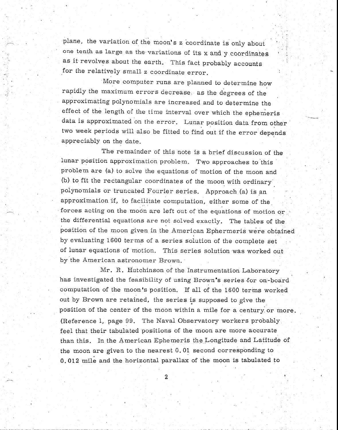plane, the variation of the moon's z 'coordinate is only about one tenth as large as the variations of its x and y coordinates as it revolves about the earth. This fact probably accounts for the relatively small z coordinate error.

More computer runs are planned to determine how rapidly the maximum errors decrease as the degrees of the approximating polynomials are increased and to determine the effect of the length of the time interval over which the ephemeris data is approximated on the error. Lunar position data from other two week periods will also be fitted to find out if the error depends appreciably on the date.

The remainder of this note is a brief discussion of the lunar position approximation problem. Two approaches to this problem are (a) to solve the equations of motion of the moon and (b) to fit the rectangular coordinates of the moon with ordinary polynomials or truncated Fourier series. Approach (a) is an approximation if, to facilitate computation, either some of the forces acting on the moon are left out of the equations of motion or the differential equations are not solved exactly. The tables of the position of the moon given in the American Ephermeris were obtained by evaluating 1600 terms of a series solution of the complete set of lunar equations of motion. This series solution was worked out by the American astronomer Brown.

Mr. R. Hutchinson of the instrumentation Laboratory has investigated the feasibility of using Brown's series for on-board computation of the moon's position. If all of the 1600 terms worked out by Brown are retained, the series is supposed to give the position of the center of the moon within a mile for a century or more. (Reference 1, page 99. The Naval Observatory workers probably feel that their tabulated positions of the moon are more accurate than this. In the American Ephemeris the Longitude and Latitude of the moon are given to the nearest 0.01 second corresponding to 0,012 mile and the horizontal parallax of the moon is tabulated to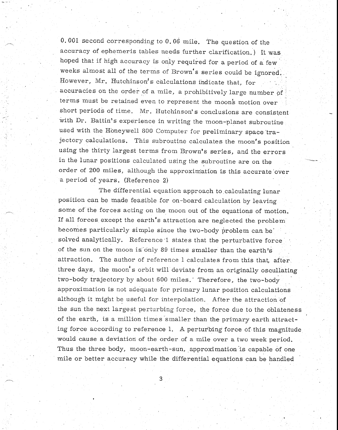0.001 second corresponding to 0.06 mile. The question of the accuracy of ephemeris tables needs further clarification.) It was hoped that if high accuracy is only required for a period of a few weeks almost all of the terms of Brown's series could be ignored. However, Mr. Hutchinson's calculations indicate that, for accuracies on the order of a mile, a prohibitively large number of terms must be retained even to represent the moon's motion over short periods of time. Mr. Hutchinson's conclusions are consistent with Dr. Battin's experience in writing the moon-planet subroutine used with the Honeywell 800 Computer for preliminary space 'trajectory calculations. This subroutine calculates the moon's position using the thirty largest terms from Brown's series, and the errors in the lunar positions calculated using the subroutine are on the order of 200 miles, although the approximation is this accurate'over a period of years. (Reference 2)

The differential equation approach to calculating lunar position can be made feasible for on-board calculation by leaving some of the forces acting on the moon out of the equations of motion. If all forces, except the earth's attraction are neglected the problem becomes particularly simple since the two-body problem can be solved analytically. Reference 1 states that the perturbative force of the sun on the moon is only 89 times smaller than the earth's attraction. The author of reference 1 calculates from this that, after three days, the moon's orbit will deviate from an originally oscullating two-body trajectory by about 600 miles.' Therefore, the two-body approximation is not adequate for primary lunar position calculations although it might be useful for interpolation. After the attraction of the sun the next largest perturbing force, the force due to the oblateness of the earth, is a million times smaller than the primary earth attracting force according to reference 1. A perturbing force of this magnitude would cause a deviation of the order of a mile over a two week period. Thus the three body, moon-earth-sun, approximation 'is capable of one mile or better accuracy while the differential equations can be handled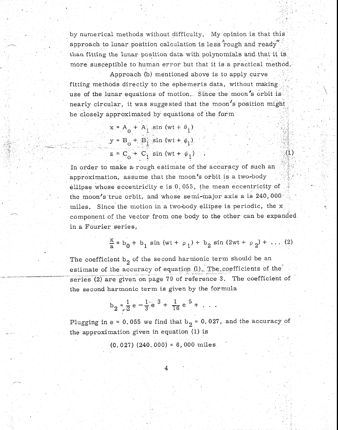by numerical methods without difficulty. My opinion is that this approach to lunar position calculation is less rough and ready" than fitting the lunar position data with polynomials and that it is more susceptible to human error but that it is a practical method.

Approach (b) mentioned above is to apply curve fitting methods directly to the ephemeris data, without making use of the lunar equations of motion. Since the moon's orbit is nearly circular, it was suggested that the moon's position might be closely approximated by equations of the form

$$
x = A_0 + A_1 \sin (wt + \theta_1)
$$
  
\n
$$
y = B_0 + B_1 \sin (wt + \phi_1)
$$
  
\n
$$
z = C_0 + C_1 \sin (wt + \psi_1)
$$

In order to make a rough estimate of the° accuracy of such an approximation, assume that the moon's orbit is a two-body ellipse whose eccentricity e is 0.055, the mean eccentricity of the moon's true orbit, and whose semi-major axis a is 240,000 miles. Since the motion in a two-body ellipse is periodic, the  $x$ component of the vector from one body to the other can be expanded in a Fourier series,

$$
\frac{x}{a} = b_0 + b_1 \sin{(wt + \rho_1)} + b_2 \sin{(2wt + \rho_2)} + \dots (2)
$$

 $(1)$ 

The coefficient  $b_2$  of the second harmonic term should be an estimate of the accuracy of equation  $(1)$ . The coefficients of the series (2) are given on page 79 of reference 3. The coefficient of the second harmonic term is given by the formula

$$
b_2 = \frac{1}{2} e - \frac{1}{3} e^{3} + \frac{1}{16} e^{5} + \dots
$$

Plugging in e = 0.055 we find that  $b_2 = 0.027$ , and the accuracy of the approximation given in equation (1) is

 $(0.027)$   $(240.000) = 6,000$  miles

4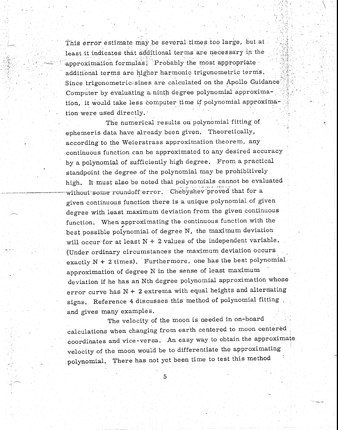This error estimate may be several *times* too large, but at least it indicates that additional terms are necessary in the approximation formulas. Probably the most appropriate additional terms are higher harmonic trigonometric terms. Since trigonometric sines are calculated on the Apollo Guidance Computer by evaluating 'a ninth degree polynomial approximation, it would take less computer time if polynomial approximation were used directly.•

The numerical results on polynomial fitting of ephemeris data have already been given. Theoretically, according to the Weierstrass approximation theorem, any continuous function can be approximated to any desired accuracy by a polynomial of sufficiently high degree. From a practical standpoint the degree of the polynomial may be prohibitively high. It must also be noted that polynomials cannot be evaluated without some roundoff error. Chebyshev proved that for a given continuous function there is a unique polynomial of given degree with least maximum deviation from the given continuous function. When approximating the continuous function with the best possible polynomial of degree N, the maximum deviation will occur for at least  $N + 2$  values of the independent variable. (Under ordinary circumstances the maximum deviation occurs exactly N + 2 times), Furthermore, one has the best polynomial approximation of degree N in the sense of least maximum deviation if he has an Nth degree polynomial approximation whose error curve has  $N + 2$  extrema with equal heights and alternating signs. Reference 4 discusses this method of polynomial fitting and gives many examples.

The velocity of the moon is needed in on-board calculations when changing from earth centered to moon centered coordinates and vice-versa. An easy way to obtain the approximate velocity of the moon would be to differentiate the approximating polynomial. There has not yet been time to test this method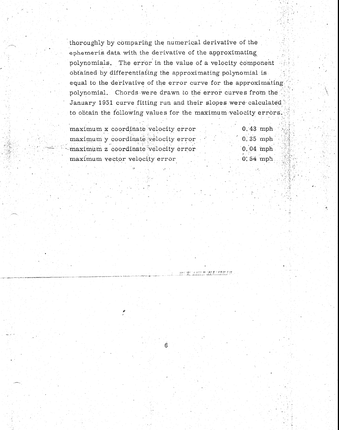thoroughly by comparing the numerical derivative of the ephemeris data with the derivative of the approximating . polynomials. The error in the value of a velocity component obtained by differentiating the approximating polynomial is equal to the derivative of the error curve for the approximating polynomial. Chords were drawn to the error curves from the January 1951 curve fitting run and their slopes were calculated to obtain the following values for the maximum velocity errors,

| maximum x coordinate velocity error    | $0.43$ mph  |
|----------------------------------------|-------------|
| maximum y coordinate velocity error    | $0.35$ mph  |
| $-maximum$ z coordinate velocity error | $0.04$ mph  |
| maximum vector velocity error          | $0.54$ mph. |

6